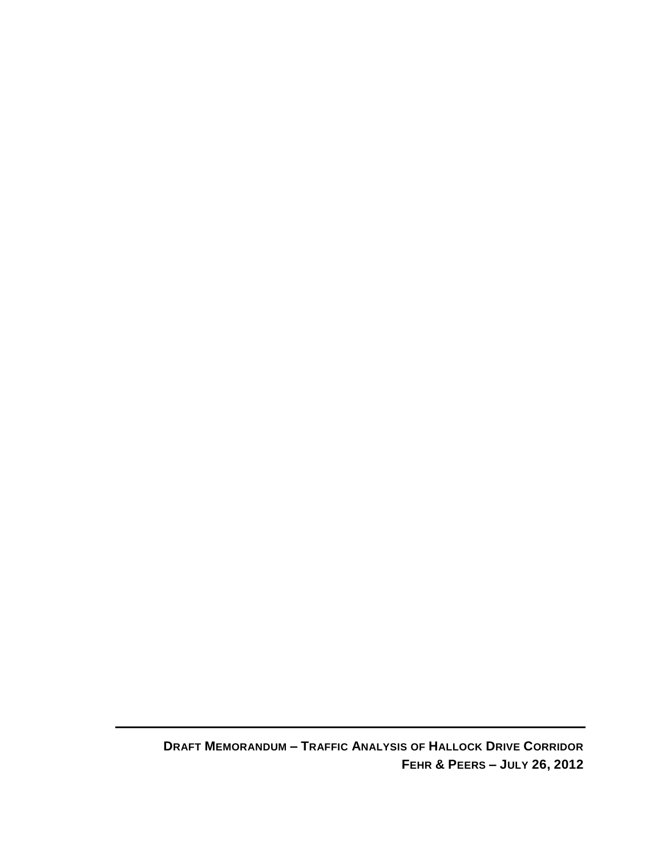**DRAFT MEMORANDUM – TRAFFIC ANALYSIS OF HALLOCK DRIVE CORRIDOR FEHR & PEERS – JULY 26, 2012**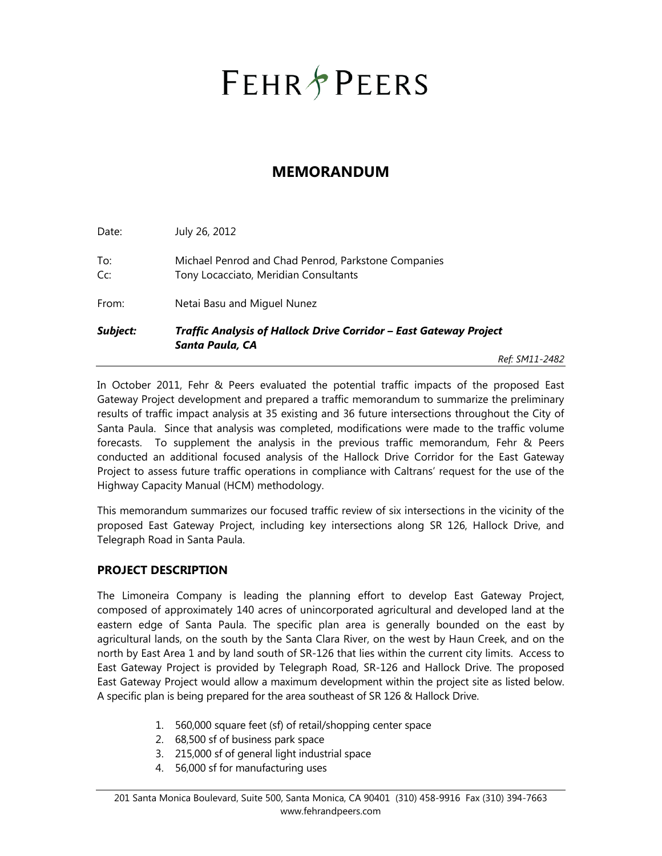# **FEHR & PEERS**

### **MEMORANDUM**

|            |                                                                                              | Ref: SM11-2482 |  |  |  |  |  |
|------------|----------------------------------------------------------------------------------------------|----------------|--|--|--|--|--|
| Subject:   | Traffic Analysis of Hallock Drive Corridor - East Gateway Project<br>Santa Paula, CA         |                |  |  |  |  |  |
| From:      | Netai Basu and Miguel Nunez                                                                  |                |  |  |  |  |  |
| To:<br>Cc: | Michael Penrod and Chad Penrod, Parkstone Companies<br>Tony Locacciato, Meridian Consultants |                |  |  |  |  |  |
| Date:      | July 26, 2012                                                                                |                |  |  |  |  |  |

In October 2011, Fehr & Peers evaluated the potential traffic impacts of the proposed East Gateway Project development and prepared a traffic memorandum to summarize the preliminary results of traffic impact analysis at 35 existing and 36 future intersections throughout the City of Santa Paula. Since that analysis was completed, modifications were made to the traffic volume forecasts. To supplement the analysis in the previous traffic memorandum, Fehr & Peers conducted an additional focused analysis of the Hallock Drive Corridor for the East Gateway Project to assess future traffic operations in compliance with Caltrans' request for the use of the Highway Capacity Manual (HCM) methodology.

This memorandum summarizes our focused traffic review of six intersections in the vicinity of the proposed East Gateway Project, including key intersections along SR 126, Hallock Drive, and Telegraph Road in Santa Paula.

#### **PROJECT DESCRIPTION**

The Limoneira Company is leading the planning effort to develop East Gateway Project, composed of approximately 140 acres of unincorporated agricultural and developed land at the eastern edge of Santa Paula. The specific plan area is generally bounded on the east by agricultural lands, on the south by the Santa Clara River, on the west by Haun Creek, and on the north by East Area 1 and by land south of SR-126 that lies within the current city limits. Access to East Gateway Project is provided by Telegraph Road, SR-126 and Hallock Drive. The proposed East Gateway Project would allow a maximum development within the project site as listed below. A specific plan is being prepared for the area southeast of SR 126 & Hallock Drive.

- 1. 560,000 square feet (sf) of retail/shopping center space
- 2. 68,500 sf of business park space
- 3. 215,000 sf of general light industrial space
- 4. 56,000 sf for manufacturing uses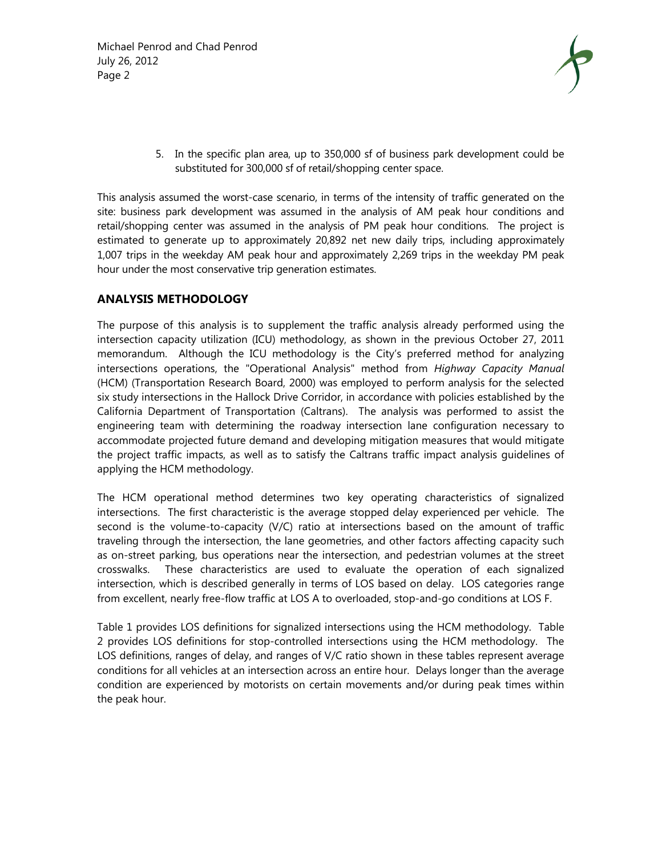

5. In the specific plan area, up to 350,000 sf of business park development could be substituted for 300,000 sf of retail/shopping center space.

This analysis assumed the worst-case scenario, in terms of the intensity of traffic generated on the site: business park development was assumed in the analysis of AM peak hour conditions and retail/shopping center was assumed in the analysis of PM peak hour conditions. The project is estimated to generate up to approximately 20,892 net new daily trips, including approximately 1,007 trips in the weekday AM peak hour and approximately 2,269 trips in the weekday PM peak hour under the most conservative trip generation estimates.

#### **ANALYSIS METHODOLOGY**

The purpose of this analysis is to supplement the traffic analysis already performed using the intersection capacity utilization (ICU) methodology, as shown in the previous October 27, 2011 memorandum. Although the ICU methodology is the City's preferred method for analyzing intersections operations, the "Operational Analysis" method from *Highway Capacity Manual* (HCM) (Transportation Research Board, 2000) was employed to perform analysis for the selected six study intersections in the Hallock Drive Corridor, in accordance with policies established by the California Department of Transportation (Caltrans). The analysis was performed to assist the engineering team with determining the roadway intersection lane configuration necessary to accommodate projected future demand and developing mitigation measures that would mitigate the project traffic impacts, as well as to satisfy the Caltrans traffic impact analysis guidelines of applying the HCM methodology.

The HCM operational method determines two key operating characteristics of signalized intersections. The first characteristic is the average stopped delay experienced per vehicle. The second is the volume-to-capacity (V/C) ratio at intersections based on the amount of traffic traveling through the intersection, the lane geometries, and other factors affecting capacity such as on-street parking, bus operations near the intersection, and pedestrian volumes at the street crosswalks. These characteristics are used to evaluate the operation of each signalized intersection, which is described generally in terms of LOS based on delay. LOS categories range from excellent, nearly free-flow traffic at LOS A to overloaded, stop-and-go conditions at LOS F.

Table 1 provides LOS definitions for signalized intersections using the HCM methodology. Table 2 provides LOS definitions for stop-controlled intersections using the HCM methodology. The LOS definitions, ranges of delay, and ranges of V/C ratio shown in these tables represent average conditions for all vehicles at an intersection across an entire hour. Delays longer than the average condition are experienced by motorists on certain movements and/or during peak times within the peak hour.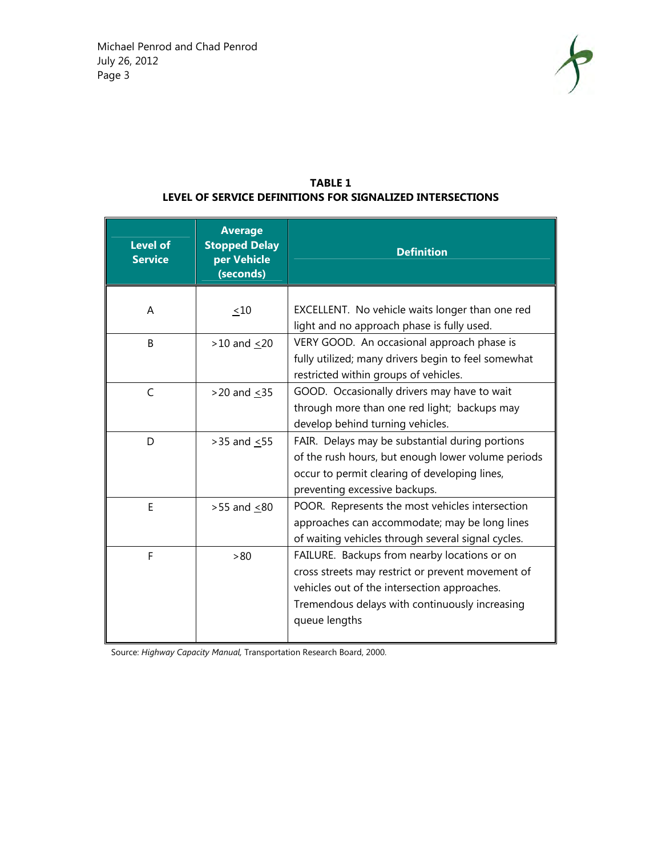

#### **TABLE 1 LEVEL OF SERVICE DEFINITIONS FOR SIGNALIZED INTERSECTIONS**

| <b>Level of</b><br><b>Service</b> | <b>Average</b><br><b>Stopped Delay</b><br>per Vehicle<br>(seconds) | <b>Definition</b>                                                                                                                                                                                                    |  |  |  |  |  |  |  |  |
|-----------------------------------|--------------------------------------------------------------------|----------------------------------------------------------------------------------------------------------------------------------------------------------------------------------------------------------------------|--|--|--|--|--|--|--|--|
| A                                 | ~10                                                                | EXCELLENT. No vehicle waits longer than one red<br>light and no approach phase is fully used.                                                                                                                        |  |  |  |  |  |  |  |  |
| B                                 | $>10$ and $<20$                                                    | VERY GOOD. An occasional approach phase is<br>fully utilized; many drivers begin to feel somewhat<br>restricted within groups of vehicles.                                                                           |  |  |  |  |  |  |  |  |
| $\mathsf{C}$                      | $>20$ and $< 35$                                                   | GOOD. Occasionally drivers may have to wait<br>through more than one red light; backups may<br>develop behind turning vehicles.                                                                                      |  |  |  |  |  |  |  |  |
| D                                 | $>35$ and $<55$                                                    | FAIR. Delays may be substantial during portions<br>of the rush hours, but enough lower volume periods<br>occur to permit clearing of developing lines,<br>preventing excessive backups.                              |  |  |  |  |  |  |  |  |
| E                                 | $>55$ and $\leq 80$                                                | POOR. Represents the most vehicles intersection<br>approaches can accommodate; may be long lines<br>of waiting vehicles through several signal cycles.                                                               |  |  |  |  |  |  |  |  |
| F                                 | > 80                                                               | FAILURE. Backups from nearby locations or on<br>cross streets may restrict or prevent movement of<br>vehicles out of the intersection approaches.<br>Tremendous delays with continuously increasing<br>queue lengths |  |  |  |  |  |  |  |  |

Source: *Highway Capacity Manual,* Transportation Research Board, 2000.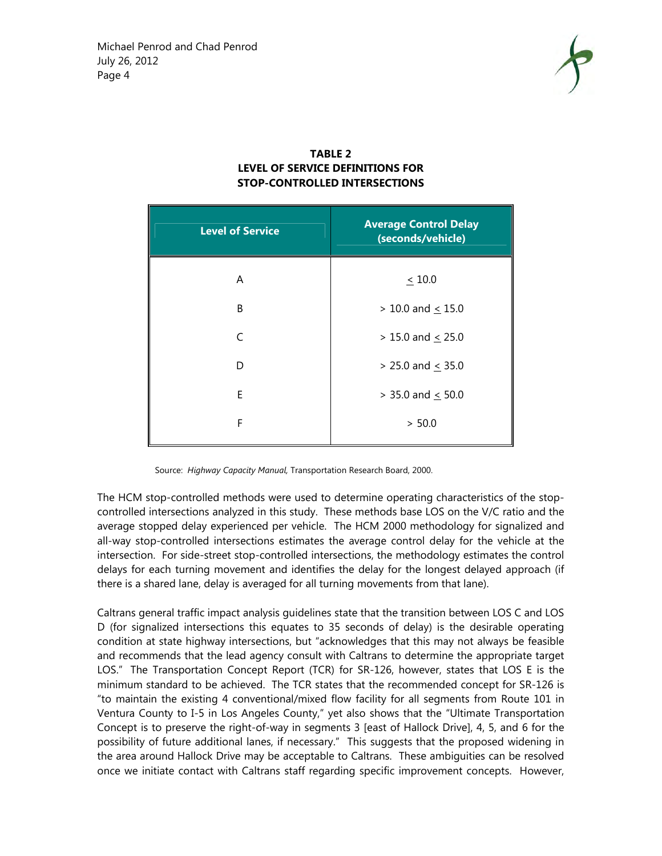

#### **TABLE 2 LEVEL OF SERVICE DEFINITIONS FOR STOP-CONTROLLED INTERSECTIONS**

| <b>Average Control Delay</b><br>(seconds/vehicle) |
|---------------------------------------------------|
| $\leq 10.0$                                       |
| $> 10.0$ and < 15.0                               |
| $> 15.0$ and $\leq 25.0$                          |
| $> 25.0$ and $\leq 35.0$                          |
| $>$ 35.0 and $\leq$ 50.0                          |
| > 50.0                                            |
|                                                   |

Source: *Highway Capacity Manual,* Transportation Research Board, 2000.

The HCM stop-controlled methods were used to determine operating characteristics of the stopcontrolled intersections analyzed in this study. These methods base LOS on the V/C ratio and the average stopped delay experienced per vehicle. The HCM 2000 methodology for signalized and all-way stop-controlled intersections estimates the average control delay for the vehicle at the intersection. For side-street stop-controlled intersections, the methodology estimates the control delays for each turning movement and identifies the delay for the longest delayed approach (if there is a shared lane, delay is averaged for all turning movements from that lane).

Caltrans general traffic impact analysis guidelines state that the transition between LOS C and LOS D (for signalized intersections this equates to 35 seconds of delay) is the desirable operating condition at state highway intersections, but "acknowledges that this may not always be feasible and recommends that the lead agency consult with Caltrans to determine the appropriate target LOS." The Transportation Concept Report (TCR) for SR-126, however, states that LOS E is the minimum standard to be achieved. The TCR states that the recommended concept for SR-126 is "to maintain the existing 4 conventional/mixed flow facility for all segments from Route 101 in Ventura County to I-5 in Los Angeles County," yet also shows that the "Ultimate Transportation Concept is to preserve the right-of-way in segments 3 [east of Hallock Drive], 4, 5, and 6 for the possibility of future additional lanes, if necessary." This suggests that the proposed widening in the area around Hallock Drive may be acceptable to Caltrans. These ambiguities can be resolved once we initiate contact with Caltrans staff regarding specific improvement concepts. However,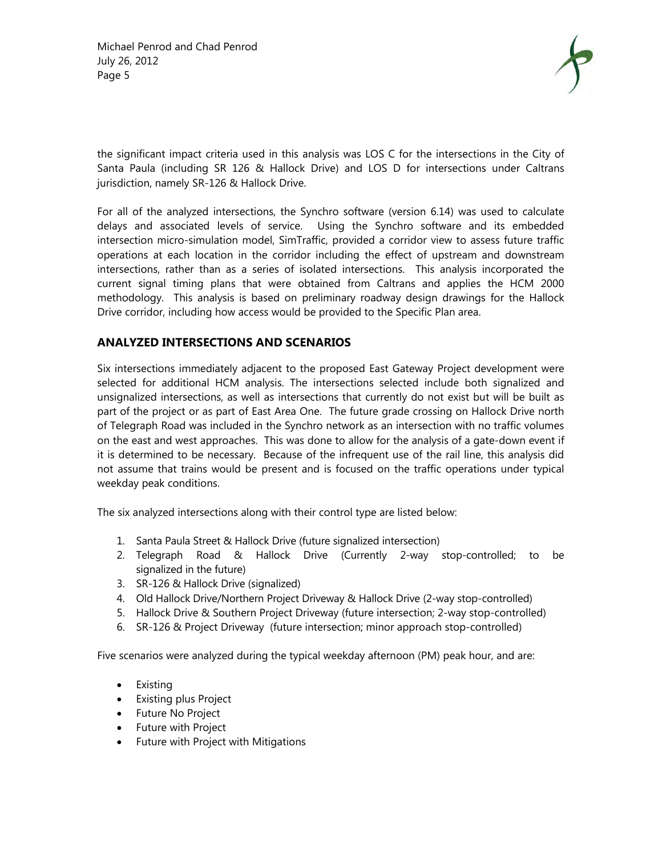

the significant impact criteria used in this analysis was LOS C for the intersections in the City of Santa Paula (including SR 126 & Hallock Drive) and LOS D for intersections under Caltrans jurisdiction, namely SR-126 & Hallock Drive.

For all of the analyzed intersections, the Synchro software (version 6.14) was used to calculate delays and associated levels of service. Using the Synchro software and its embedded intersection micro-simulation model, SimTraffic, provided a corridor view to assess future traffic operations at each location in the corridor including the effect of upstream and downstream intersections, rather than as a series of isolated intersections. This analysis incorporated the current signal timing plans that were obtained from Caltrans and applies the HCM 2000 methodology. This analysis is based on preliminary roadway design drawings for the Hallock Drive corridor, including how access would be provided to the Specific Plan area.

#### **ANALYZED INTERSECTIONS AND SCENARIOS**

Six intersections immediately adjacent to the proposed East Gateway Project development were selected for additional HCM analysis. The intersections selected include both signalized and unsignalized intersections, as well as intersections that currently do not exist but will be built as part of the project or as part of East Area One. The future grade crossing on Hallock Drive north of Telegraph Road was included in the Synchro network as an intersection with no traffic volumes on the east and west approaches. This was done to allow for the analysis of a gate-down event if it is determined to be necessary. Because of the infrequent use of the rail line, this analysis did not assume that trains would be present and is focused on the traffic operations under typical weekday peak conditions.

The six analyzed intersections along with their control type are listed below:

- 1. Santa Paula Street & Hallock Drive (future signalized intersection)
- 2. Telegraph Road & Hallock Drive (Currently 2-way stop-controlled; to be signalized in the future)
- 3. SR-126 & Hallock Drive (signalized)
- 4. Old Hallock Drive/Northern Project Driveway & Hallock Drive (2-way stop-controlled)
- 5. Hallock Drive & Southern Project Driveway (future intersection; 2-way stop-controlled)
- 6. SR-126 & Project Driveway (future intersection; minor approach stop-controlled)

Five scenarios were analyzed during the typical weekday afternoon (PM) peak hour, and are:

- Existing
- Existing plus Project
- Future No Project
- Future with Project
- Future with Project with Mitigations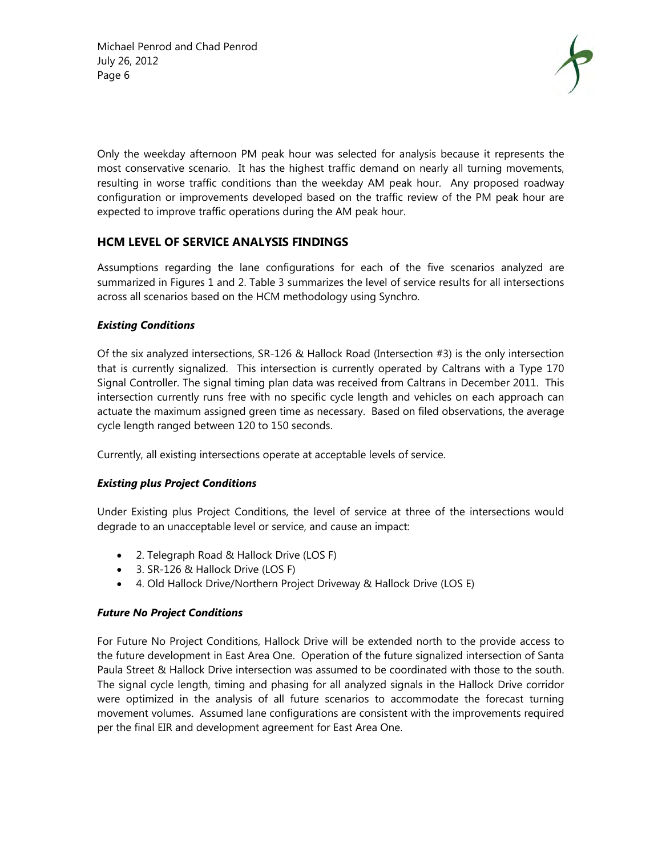

Only the weekday afternoon PM peak hour was selected for analysis because it represents the most conservative scenario. It has the highest traffic demand on nearly all turning movements, resulting in worse traffic conditions than the weekday AM peak hour. Any proposed roadway configuration or improvements developed based on the traffic review of the PM peak hour are expected to improve traffic operations during the AM peak hour.

#### **HCM LEVEL OF SERVICE ANALYSIS FINDINGS**

Assumptions regarding the lane configurations for each of the five scenarios analyzed are summarized in Figures 1 and 2. Table 3 summarizes the level of service results for all intersections across all scenarios based on the HCM methodology using Synchro.

#### *Existing Conditions*

Of the six analyzed intersections, SR-126 & Hallock Road (Intersection #3) is the only intersection that is currently signalized. This intersection is currently operated by Caltrans with a Type 170 Signal Controller. The signal timing plan data was received from Caltrans in December 2011. This intersection currently runs free with no specific cycle length and vehicles on each approach can actuate the maximum assigned green time as necessary. Based on filed observations, the average cycle length ranged between 120 to 150 seconds.

Currently, all existing intersections operate at acceptable levels of service.

#### *Existing plus Project Conditions*

Under Existing plus Project Conditions, the level of service at three of the intersections would degrade to an unacceptable level or service, and cause an impact:

- 2. Telegraph Road & Hallock Drive (LOS F)
- 3. SR-126 & Hallock Drive (LOS F)
- 4. Old Hallock Drive/Northern Project Driveway & Hallock Drive (LOS E)

#### *Future No Project Conditions*

For Future No Project Conditions, Hallock Drive will be extended north to the provide access to the future development in East Area One. Operation of the future signalized intersection of Santa Paula Street & Hallock Drive intersection was assumed to be coordinated with those to the south. The signal cycle length, timing and phasing for all analyzed signals in the Hallock Drive corridor were optimized in the analysis of all future scenarios to accommodate the forecast turning movement volumes. Assumed lane configurations are consistent with the improvements required per the final EIR and development agreement for East Area One.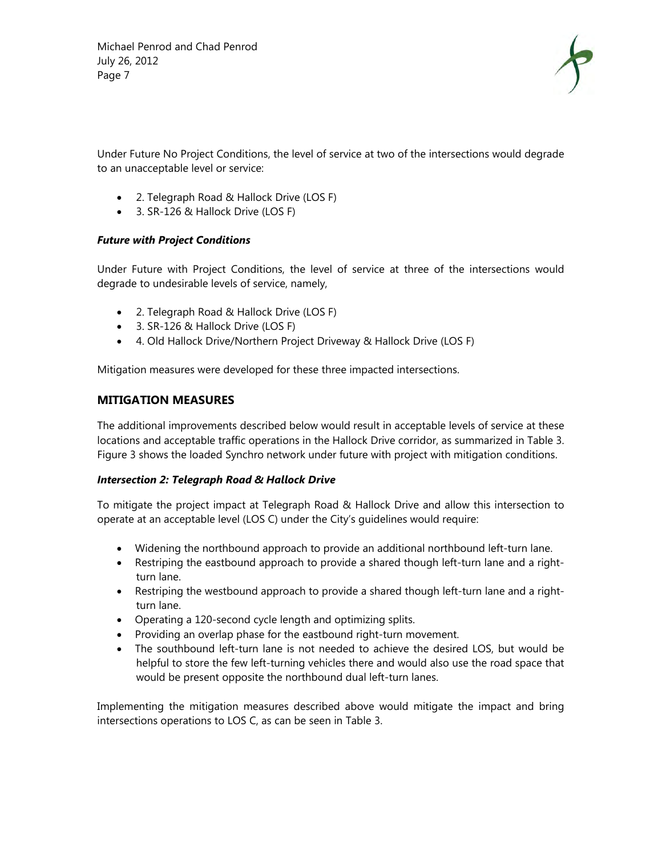

Under Future No Project Conditions, the level of service at two of the intersections would degrade to an unacceptable level or service:

- 2. Telegraph Road & Hallock Drive (LOS F)
- 3. SR-126 & Hallock Drive (LOS F)

#### *Future with Project Conditions*

Under Future with Project Conditions, the level of service at three of the intersections would degrade to undesirable levels of service, namely,

- 2. Telegraph Road & Hallock Drive (LOS F)
- 3. SR-126 & Hallock Drive (LOS F)
- 4. Old Hallock Drive/Northern Project Driveway & Hallock Drive (LOS F)

Mitigation measures were developed for these three impacted intersections.

#### **MITIGATION MEASURES**

The additional improvements described below would result in acceptable levels of service at these locations and acceptable traffic operations in the Hallock Drive corridor, as summarized in Table 3. Figure 3 shows the loaded Synchro network under future with project with mitigation conditions.

#### *Intersection 2: Telegraph Road & Hallock Drive*

To mitigate the project impact at Telegraph Road & Hallock Drive and allow this intersection to operate at an acceptable level (LOS C) under the City's guidelines would require:

- Widening the northbound approach to provide an additional northbound left-turn lane.
- Restriping the eastbound approach to provide a shared though left-turn lane and a rightturn lane.
- Restriping the westbound approach to provide a shared though left-turn lane and a rightturn lane.
- Operating a 120-second cycle length and optimizing splits.
- Providing an overlap phase for the eastbound right-turn movement.
- The southbound left-turn lane is not needed to achieve the desired LOS, but would be helpful to store the few left-turning vehicles there and would also use the road space that would be present opposite the northbound dual left-turn lanes.

Implementing the mitigation measures described above would mitigate the impact and bring intersections operations to LOS C, as can be seen in Table 3.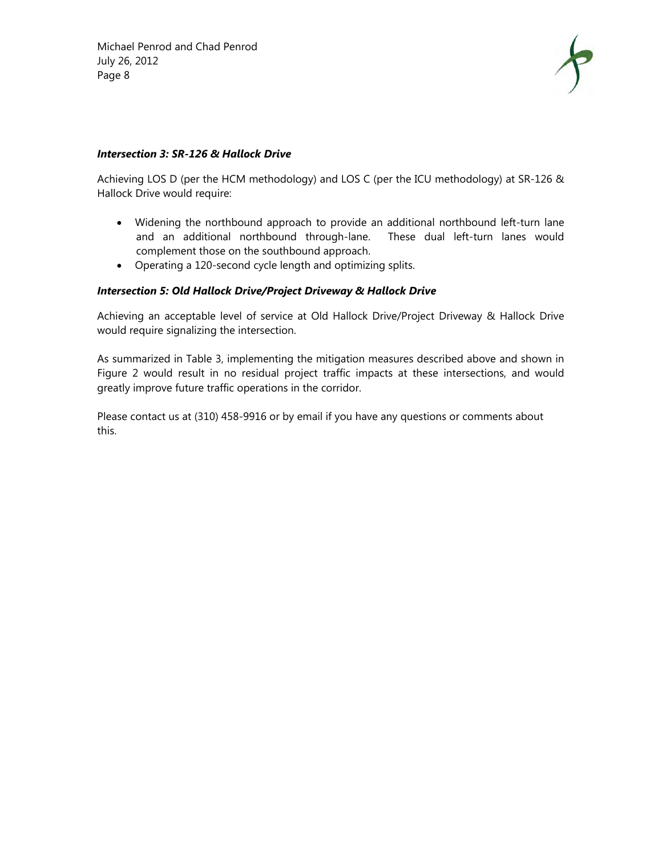

#### *Intersection 3: SR-126 & Hallock Drive*

Achieving LOS D (per the HCM methodology) and LOS C (per the ICU methodology) at SR-126 & Hallock Drive would require:

- Widening the northbound approach to provide an additional northbound left-turn lane and an additional northbound through-lane. These dual left-turn lanes would complement those on the southbound approach.
- Operating a 120-second cycle length and optimizing splits.

#### *Intersection 5: Old Hallock Drive/Project Driveway & Hallock Drive*

Achieving an acceptable level of service at Old Hallock Drive/Project Driveway & Hallock Drive would require signalizing the intersection.

As summarized in Table 3, implementing the mitigation measures described above and shown in Figure 2 would result in no residual project traffic impacts at these intersections, and would greatly improve future traffic operations in the corridor.

Please contact us at (310) 458-9916 or by email if you have any questions or comments about this.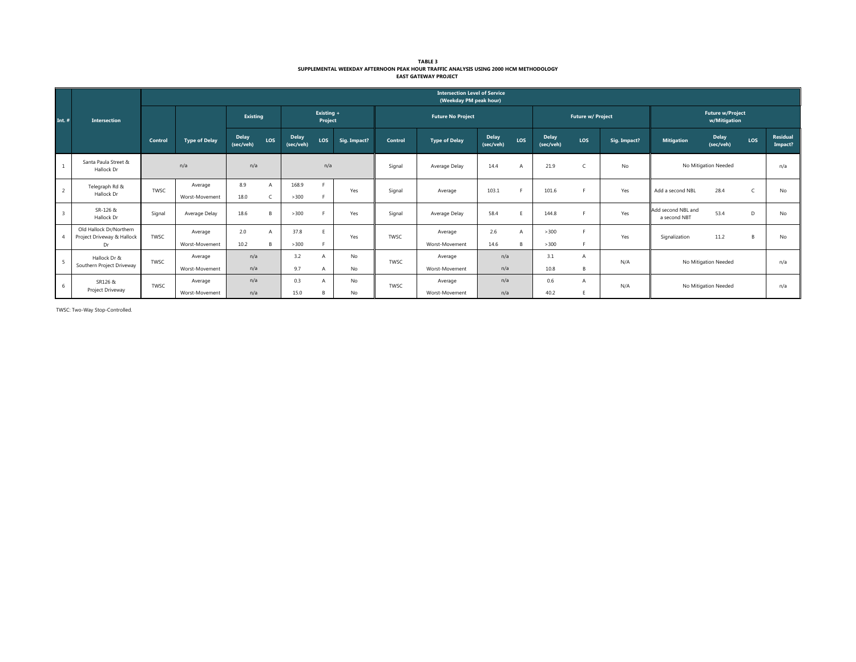| <b>TABLE 3</b>                                                                       |
|--------------------------------------------------------------------------------------|
| SUPPLEMENTAL WEEKDAY AFTERNOON PEAK HOUR TRAFFIC ANALYSIS USING 2000 HCM METHODOLOGY |
| <b>EAST GATEWAY PROJECT</b>                                                          |

|                         | <b>Intersection</b>                                         |         | <b>Intersection Level of Service</b><br>(Weekday PM peak hour) |                           |     |                           |                |                |                          |                                             |                           |      |                           |          |                      |                                         |                           |     |                            |
|-------------------------|-------------------------------------------------------------|---------|----------------------------------------------------------------|---------------------------|-----|---------------------------|----------------|----------------|--------------------------|---------------------------------------------|---------------------------|------|---------------------------|----------|----------------------|-----------------------------------------|---------------------------|-----|----------------------------|
| Int. $#$                |                                                             |         |                                                                | <b>Existing</b>           |     | Existing +<br>Project     |                |                | <b>Future No Project</b> |                                             |                           |      | Future w/ Project         |          |                      | <b>Future w/Project</b><br>w/Mitigation |                           |     |                            |
|                         |                                                             | Control | <b>Type of Delay</b>                                           | <b>Delay</b><br>(sec/veh) | LOS | <b>Delay</b><br>(sec/veh) | LOS            | Sig. Impact?   | Control                  | <b>Type of Delay</b>                        | <b>Delay</b><br>(sec/veh) | LOS  | <b>Delay</b><br>(sec/veh) | LOS      | Sig. Impact?         | <b>Mitigation</b>                       | <b>Delay</b><br>(sec/veh) | LOS | <b>Residual</b><br>Impact? |
|                         | Santa Paula Street &<br>Hallock Dr                          |         | n/a                                                            | n/a                       |     | n/a                       |                | Signal         | Average Delay            | 14.4                                        | A                         | 21.9 |                           | No       | No Mitigation Needed |                                         | n/a                       |     |                            |
| 2                       | Telegraph Rd &<br>Hallock Dr                                | TWSC    | Average<br>Worst-Movement                                      | 8.9<br>18.0               |     | 168.9<br>>300             |                | Yes            | Signal                   | Average                                     | 103.1                     |      | 101.6                     |          | Yes                  | Add a second NBL                        | 28.4                      | C   | No                         |
| $\overline{\mathbf{3}}$ | SR-126 &<br>Hallock Dr                                      | Signal  | Average Delay                                                  | 18.6                      |     | >300                      |                | Yes            | Signal                   | Average Delay                               | 58.4                      |      | 144.8                     |          | Yes                  | Add second NBL and<br>a second NBT      | 53.4                      | D   | No                         |
|                         | Old Hallock Dr/Northern<br>Project Driveway & Hallock<br>Dr | TWSC    | Average<br>Worst-Movement                                      | 2.0<br>10.2               |     | 37.8<br>>300              | F.             | Yes            | TWSC                     | Average<br>Worst-Movement                   | 2.6<br>14.6               | A    | >300<br>>300              |          | Yes                  | Signalization                           | 11.2                      | B   | No                         |
| $\overline{5}$          | Hallock Dr &<br>Southern Project Driveway                   | TWSC    | Average                                                        | n/a                       |     | 3.2                       | $\overline{A}$ | No<br>TWSC     |                          | Average                                     | n/a                       |      | 3.1                       |          | N/A                  | No Mitigation Needed                    |                           | n/a |                            |
| 6                       | SR126 &<br>Project Driveway                                 | TWSC    | Worst-Movement<br>Average<br>Worst-Movement                    | n/a<br>n/a<br>n/a         |     | 9.7<br>0.3<br>15.0        | A<br>A<br>B    | No<br>No<br>No | TWSC                     | Worst-Movement<br>Average<br>Worst-Movement | n/a<br>n/a<br>n/a         |      | 10.8<br>0.6<br>40.2       | <b>R</b> | N/A                  | No Mitigation Needed                    |                           |     | n/a                        |

TWSC: Two-Way Stop-Controlled.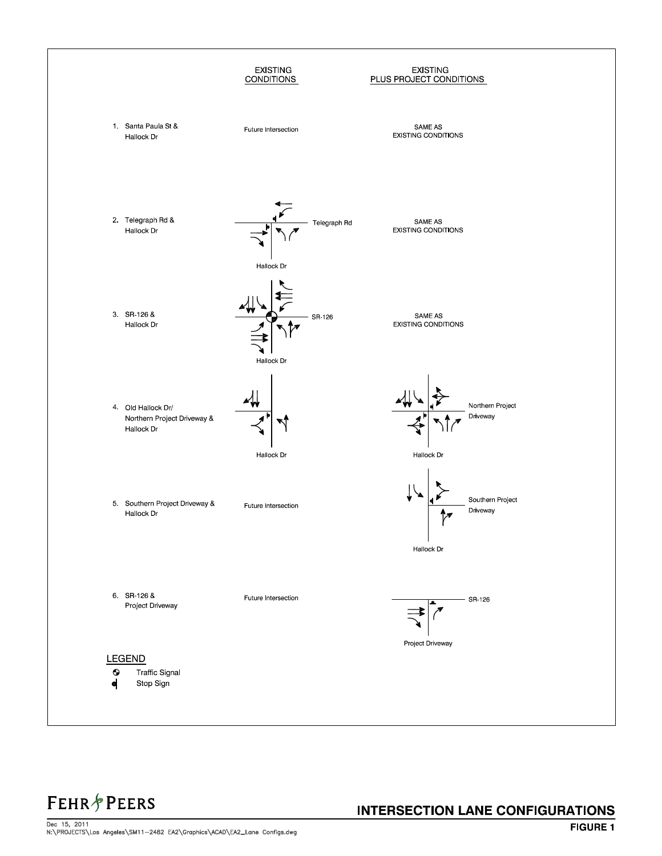

**FEHR & PEERS** 

#### **INTERSECTION LANE CONFIGURATIONS**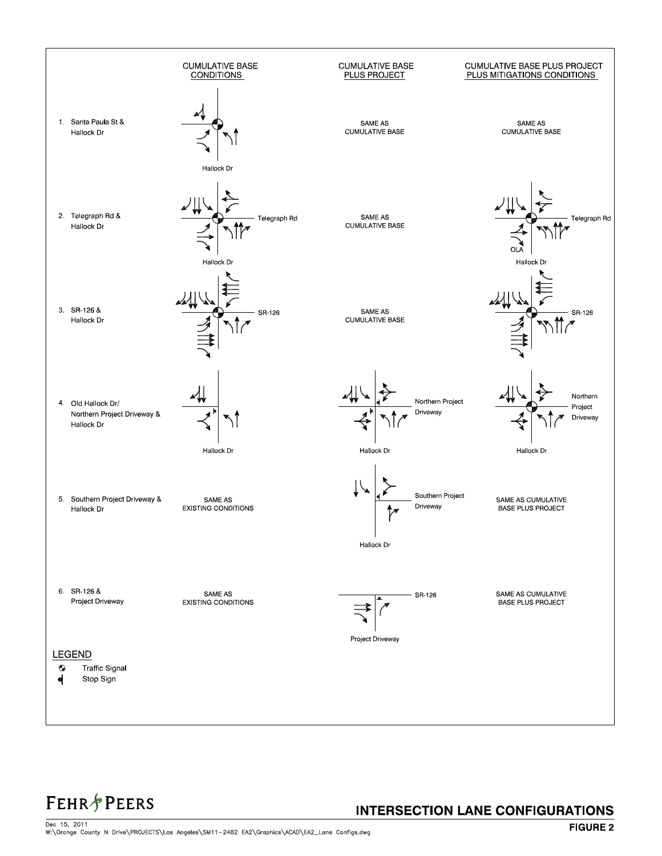

## **FEHR&PEERS**

#### **INTERSECTION LANE CONFIGURATIONS**